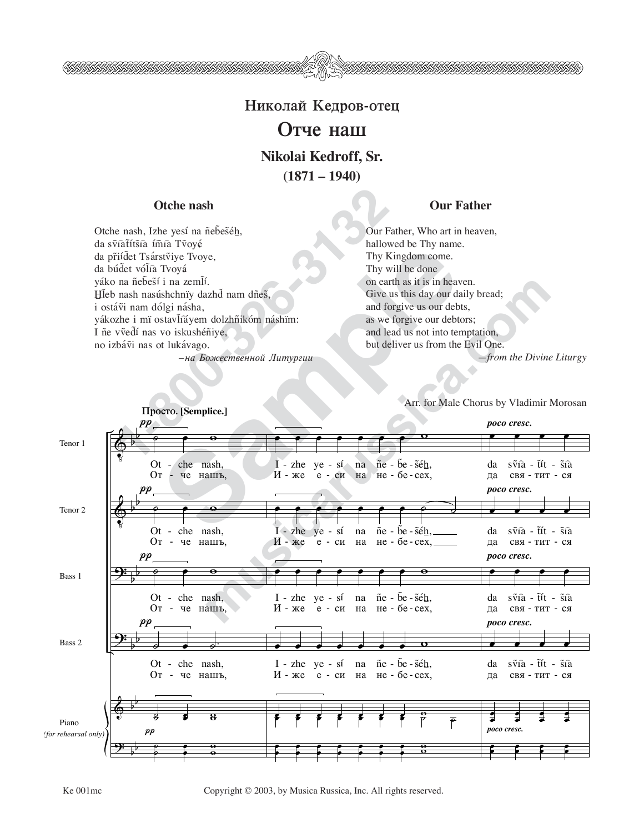

**Николай Кедров-отец** 

## **Отче наш**

**Nikolai Kedroff, Sr. (1871 – 1940)**

**Otche nash and Our Father of the Our Father** 

**1-80**<br> **1-80**<br> **1-80**<br> **1-80**<br> **1-80**<br> **1-80**<br> **1-80**<br> **1-80**<br> **1-80**<br> **1-80**<br> **1-80**<br> **1-80**<br> **1-80**<br> **1-80**<br> **1-80**<br> **1-80**<br> **1-80**<br> **1-80**<br> **1-80**<br> **1-80**<br> **1-80**<br> **1-80**<br> **1-80**<br> **1-80**<br> **1-80**<br> **1-80**<br> **1-80**<br> **1-80** Otche nash, Izhe yesí na ñebeséh, da svîatítšîa ímîa Tvoyé da pr̃iídet Tsárstviye Tvoye, da búdet vólía Tvoyá yáko na ñebestí i na zemlí. Hleb nash nasúshchnïy dazhd nam dñes, i ostávi nam dólgi násha, yákozhe i mï ostavlíáyem dolzhñikóm náshïm: I ñe vvedí nas vo iskushéniye, no izbávi nas ot lukávago.  $-$ на Божественной Литургии

Our Father, Who art in heaven, hallowed be Thy name. Thy Kingdom come. Thy will be done on earth as it is in heaven. Give us this day our daily bread; and forgive us our debts, as we forgive our debtors; and lead us not into temptation, but deliver us from the Evil One. *—from the Divine Liturgy*

Arr. for Male Chorus by Vladimir Morosan

Sampler (September 1978)<br>
Sampler (September 2017)<br>
Sampler (September 2017)<br>
Sampler (September 2018)<br>
Sampler (September 2018)<br>
Sampler (September 2018)<br>
The vertex of manner (September 2018)<br>
Sampler (September 2018)<br>
S **mush the control of the Characteristical Control of the Characteristical Control of the Characteristic Control of the Characteristic Control of the Characteristic Control of the Characteristic Control of the Characteristi**  $\mathbf{\hat{e}}$  $\mathbf{\hat{e}}$  $\frac{y}{\sqrt{2}}$  $\frac{1}{\sqrt{2}}$ &  $\overline{r}$  $\frac{1}{2}$  $\frac{1}{1}$  $\frac{1}{2}$  $\frac{1}{1}$  $\overline{ }$  $\frac{1}{1}$ b  $\frac{1}{1}$  $\overline{a}$  $\frac{1}{1}$  $\overline{ }$  $\frac{1}{1}$ Tenor 1 Tenor 2 Bass 1 Bass 2 Piano *(for rehearsal only)*  $pp_{\perp}$  $pp$  $p p$  $\it pp$  $\frac{1}{\sqrt{2}}$  $\overline{\phantom{a}}$ Ot -  $che$  - nash,  $O_T$ че нашъ,  $\overline{\phantom{a}}$ Ot - che nash, От - че нашъ,  $\overline{\phantom{a}}$ Ot - che nash, От - че нашъ,  $\frac{a}{\alpha}$   $\frac{b}{\alpha}$   $\frac{c}{\alpha}$ От - че нашъ, ˙ <sub>∂</sub><br>。  $\frac{1}{2}$ ˙  $\overline{\phantom{a}}$  $\frac{6}{x}$ w œ œ œ œ œ œ œ w I - zhe ye - sí na И - же  $e - cu$  на не - бе - сех,  $\tilde{n}$ e -  $\tilde{b}$ e -  $\tilde{s}$ é $\underline{h}$ , œ œ œ œ œ œ œ ˙ ˙ I - zhe И - же ye - sí е - си  $\operatorname{na}$ Ha ñe - b̃e- s̃é<u>h,</u> не - бе - сех, <del>œ per en en en en en en en en</del> I - zhe ye - sí И - же е - си Ġ N™ - B™ - Sˆ´Ê, Ha не - бе - сех,  $\overrightarrow{I}$  -  $\overrightarrow{z}$  -  $\overrightarrow{z}$  -  $\overrightarrow{z}$  -  $\overrightarrow{z}$  -  $\overrightarrow{z}$  -  $\overrightarrow{z}$  -  $\overrightarrow{z}$  -  $\overrightarrow{z}$  -  $\overrightarrow{z}$  -  $\overrightarrow{z}$  -  $\overrightarrow{z}$  -  $\overrightarrow{z}$  -  $\overrightarrow{z}$  -  $\overrightarrow{z}$  -  $\overrightarrow{z}$  -  $\overrightarrow{z}$  -  $\overrightarrow{z}$  -  $\overrightarrow{z}$  -  $\overrightarrow{z}$  - И - же е - си на na ñe - b̃e- s̃é<u>h,</u> не - бе - сех, ₹ ₹ ₹ ₹ ₹ ₹ ₹ ₹ <del>₹</del><br>● œ œ <sup>œ</sup> œ <sup>œ</sup> œ <sup>œ</sup> œ <sup>œ</sup> œ <sup>œ</sup> œ <sup>œ</sup>  $\frac{8}{10}$ w *poco cresc. poco cresc. poco cresc. poco cresc.*  $\frac{1}{\epsilon}$   $\frac{1}{\epsilon}$   $\frac{1}{\epsilon}$   $\frac{1}{\epsilon}$ œ œ œ œ da.  $\Box a$ sṽia - t̃ít - s̃ia свя - тит - ся  $\frac{1}{2}$ † дa sṽia - t̃ít - s̃ia свя - тит - ся œ œ œ œ † **да** sṽia - t̃ít - s̃ia свя - тит - ся  $\frac{1}{2}$ da **да** sṽia - t̃ít - s̃ia свя - тит - ся œ <sup>œ</sup> Ĭ. œ œ œ œ œ œ œ Ē **Prosto. [Semplice.]**

Ke 001mc Copyright © 2003, by Musica Russica, Inc. All rights reserved.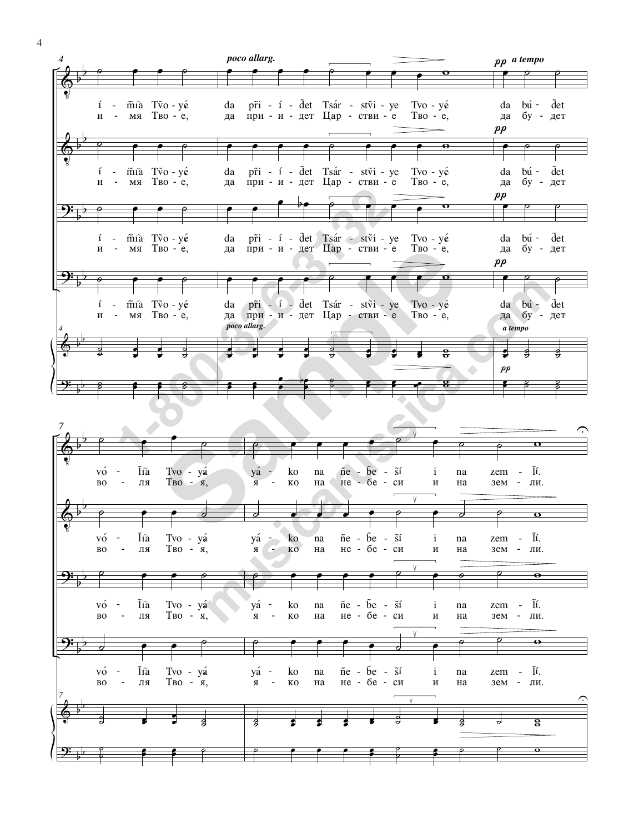

4